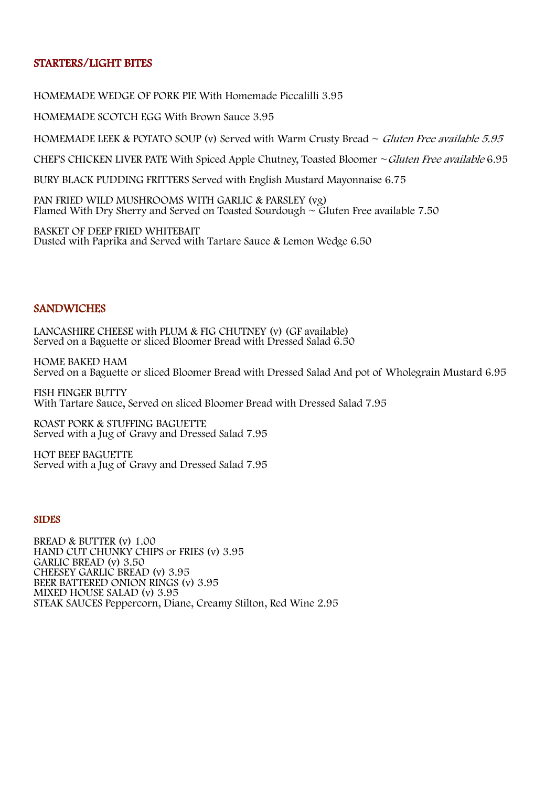## STARTERS/LIGHT BITES

HOMEMADE WEDGE OF PORK PIE With Homemade Piccalilli 3.95

HOMEMADE SCOTCH EGG With Brown Sauce 3.95<br>HOMEMADE LEEK & POTATO SOUP (v) Served with Warm Crusty Bread ~ *Gluten Free available 5.95* 

CHEF'S CHICKEN LIVER PATE With Spiced Apple Chutney, Toasted Bloomer  $\sim$  Gluten Free available 6.95

BURY BLACK PUDDING FRITTERS Served with English Mustard Mayonnaise 6.75

PAN FRIED WILD MUSHROOMS WITH GARLIC & PARSLEY (vg) Flamed With Dry Sherry and Served on Toasted Sourdough  $\sim$  Gluten Free available 7.50

BASKET OF DEEP FRIED WHITEBAIT Dusted with Paprika and Served with Tartare Sauce & Lemon Wedge 6.50

#### **SANDWICHES**

LANCASHIRE CHEESE with PLUM & FIG CHUTNEY (v) (GF available) Served on a Baguette or sliced Bloomer Bread with Dressed Salad 6.50

HOME BAKED HAM Served on a Baguette or sliced Bloomer Bread with Dressed Salad And pot of Wholegrain Mustard 6.95

FISH FINGER BUTTY With Tartare Sauce, Served on sliced Bloomer Bread with Dressed Salad 7.95

ROAST PORK & STUFFING BAGUETTE Served with a Jug of Gravy and Dressed Salad 7.95

HOT BEEF BAGUETTE Served with a Jug of Gravy and Dressed Salad 7.95

# SIDES

BREAD & BUTTER (v) 1.00 HAND CUT CHUNKY CHIPS or FRIES (v) 3.95 GARLIC BREAD (v) 3.50 CHEESEY GARLIC BREAD (v) 3.95 BEER BATTERED ONION RINGS (v) 3.95 MIXED HOUSE SALAD (v) 3.95 STEAK SAUCES Peppercorn, Diane, Creamy Stilton, Red Wine 2.95